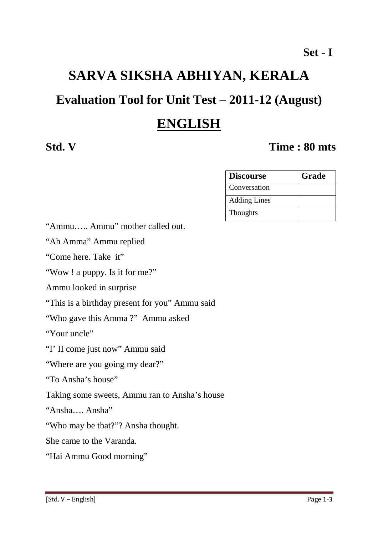# **SARVA SIKSHA ABHIYAN, KERALA**

# **Evaluation Tool for Unit Test – 2011-12 (August)**

# **ENGLISH**

# **Std. V Time : 80 mts**

| <b>Discourse</b>    | Grade |
|---------------------|-------|
| Conversation        |       |
| <b>Adding Lines</b> |       |
| Thoughts            |       |

"Ammu….. Ammu" mother called out.

"Ah Amma" Ammu replied

"Come here. Take it"

"Wow ! a puppy. Is it for me?"

Ammu looked in surprise

"This is a birthday present for you" Ammu said

"Who gave this Amma ?" Ammu asked

"Your uncle"

"I' II come just now" Ammu said

"Where are you going my dear?"

"To Ansha's house"

Taking some sweets, Ammu ran to Ansha's house

"Ansha…. Ansha"

"Who may be that?"? Ansha thought.

She came to the Varanda.

"Hai Ammu Good morning"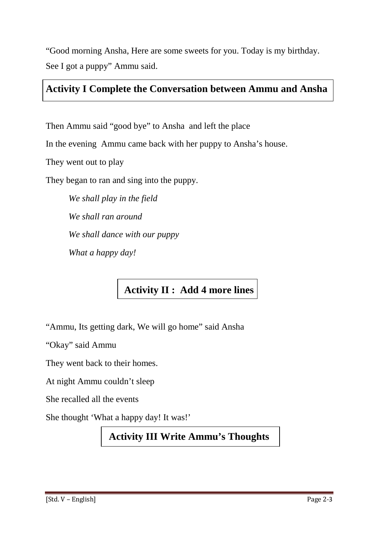"Good morning Ansha, Here are some sweets for you. Today is my birthday. See I got a puppy" Ammu said.

## **Activity I Complete the Conversation between Ammu and Ansha**

Then Ammu said "good bye" to Ansha and left the place

In the evening Ammu came back with her puppy to Ansha's house.

They went out to play

They began to ran and sing into the puppy.

*We shall play in the field We shall ran around We shall dance with our puppy What a happy day!* 

# **Activity II : Add 4 more lines**

"Ammu, Its getting dark, We will go home" said Ansha

"Okay" said Ammu

They went back to their homes.

At night Ammu couldn't sleep

She recalled all the events

She thought 'What a happy day! It was!'

## **Activity III Write Ammu's Thoughts**